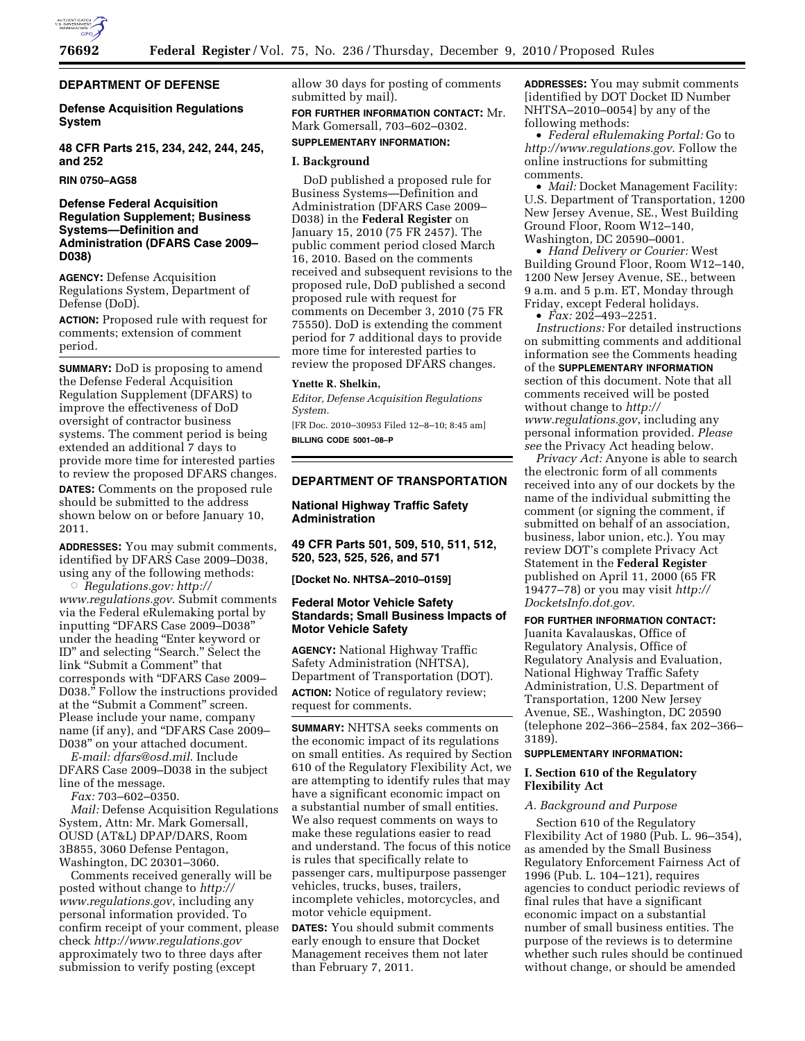

# **DEPARTMENT OF DEFENSE**

**Defense Acquisition Regulations System** 

**48 CFR Parts 215, 234, 242, 244, 245, and 252** 

**RIN 0750–AG58** 

# **Defense Federal Acquisition Regulation Supplement; Business Systems—Definition and Administration (DFARS Case 2009– D038)**

**AGENCY:** Defense Acquisition Regulations System, Department of Defense (DoD).

**ACTION:** Proposed rule with request for comments; extension of comment period.

**SUMMARY:** DoD is proposing to amend the Defense Federal Acquisition Regulation Supplement (DFARS) to improve the effectiveness of DoD oversight of contractor business systems. The comment period is being extended an additional 7 days to provide more time for interested parties to review the proposed DFARS changes. **DATES:** Comments on the proposed rule should be submitted to the address shown below on or before January 10, 2011.

**ADDRESSES:** You may submit comments, identified by DFARS Case 2009–D038, using any of the following methods:

Æ *Regulations.gov: [http://](http://www.regulations.gov)  [www.regulations.gov](http://www.regulations.gov)*. Submit comments via the Federal eRulemaking portal by inputting ''DFARS Case 2009–D038'' under the heading ''Enter keyword or ID'' and selecting ''Search.'' Select the link "Submit a Comment" that corresponds with ''DFARS Case 2009– D038.'' Follow the instructions provided at the "Submit a Comment" screen. Please include your name, company name (if any), and ''DFARS Case 2009– D038'' on your attached document.

*E-mail: [dfars@osd.mil](mailto:dfars@osd.mil)*. Include DFARS Case 2009–D038 in the subject line of the message.

*Fax:* 703–602–0350.

*Mail:* Defense Acquisition Regulations System, Attn: Mr. Mark Gomersall, OUSD (AT&L) DPAP/DARS, Room 3B855, 3060 Defense Pentagon, Washington, DC 20301–3060.

Comments received generally will be posted without change to *[http://](http://www.regulations.gov) [www.regulations.gov](http://www.regulations.gov)*, including any personal information provided. To confirm receipt of your comment, please check *<http://www.regulations.gov>* approximately two to three days after submission to verify posting (except

allow 30 days for posting of comments submitted by mail).

**FOR FURTHER INFORMATION CONTACT:** Mr. Mark Gomersall, 703–602–0302.

# **SUPPLEMENTARY INFORMATION:**

### **I. Background**

DoD published a proposed rule for Business Systems—Definition and Administration (DFARS Case 2009– D038) in the **Federal Register** on January 15, 2010 (75 FR 2457). The public comment period closed March 16, 2010. Based on the comments received and subsequent revisions to the proposed rule, DoD published a second proposed rule with request for comments on December 3, 2010 (75 FR 75550). DoD is extending the comment period for 7 additional days to provide more time for interested parties to review the proposed DFARS changes.

#### **Ynette R. Shelkin,**

*Editor, Defense Acquisition Regulations System.* 

[FR Doc. 2010–30953 Filed 12–8–10; 8:45 am] **BILLING CODE 5001–08–P** 

# **DEPARTMENT OF TRANSPORTATION**

**National Highway Traffic Safety Administration** 

**49 CFR Parts 501, 509, 510, 511, 512, 520, 523, 525, 526, and 571** 

**[Docket No. NHTSA–2010–0159]** 

## **Federal Motor Vehicle Safety Standards; Small Business Impacts of Motor Vehicle Safety**

**AGENCY:** National Highway Traffic Safety Administration (NHTSA), Department of Transportation (DOT). **ACTION:** Notice of regulatory review; request for comments.

**SUMMARY:** NHTSA seeks comments on the economic impact of its regulations on small entities. As required by Section 610 of the Regulatory Flexibility Act, we are attempting to identify rules that may have a significant economic impact on a substantial number of small entities. We also request comments on ways to make these regulations easier to read and understand. The focus of this notice is rules that specifically relate to passenger cars, multipurpose passenger vehicles, trucks, buses, trailers, incomplete vehicles, motorcycles, and motor vehicle equipment.

**DATES:** You should submit comments early enough to ensure that Docket Management receives them not later than February 7, 2011.

**ADDRESSES:** You may submit comments [identified by DOT Docket ID Number NHTSA–2010–0054] by any of the following methods:

• *Federal eRulemaking Portal:* Go to *<http://www.regulations.gov>*. Follow the online instructions for submitting comments.

• *Mail:* Docket Management Facility: U.S. Department of Transportation, 1200 New Jersey Avenue, SE., West Building Ground Floor, Room W12–140, Washington, DC 20590–0001.

• *Hand Delivery or Courier:* West Building Ground Floor, Room W12–140, 1200 New Jersey Avenue, SE., between 9 a.m. and 5 p.m. ET, Monday through Friday, except Federal holidays.

• *Fax:* 202–493–2251.

*Instructions:* For detailed instructions on submitting comments and additional information see the Comments heading of the **SUPPLEMENTARY INFORMATION** section of this document. Note that all comments received will be posted without change to *[http://](http://www.regulations.gov) [www.regulations.gov](http://www.regulations.gov)*, including any personal information provided. *Please see* the Privacy Act heading below.

*Privacy Act:* Anyone is able to search the electronic form of all comments received into any of our dockets by the name of the individual submitting the comment (or signing the comment, if submitted on behalf of an association, business, labor union, etc.). You may review DOT's complete Privacy Act Statement in the **Federal Register**  published on April 11, 2000 (65 FR 19477–78) or you may visit *[http://](http://DocketsInfo.dot.gov) [DocketsInfo.dot.gov.](http://DocketsInfo.dot.gov)* 

## **FOR FURTHER INFORMATION CONTACT:**

Juanita Kavalauskas, Office of Regulatory Analysis, Office of Regulatory Analysis and Evaluation, National Highway Traffic Safety Administration, U.S. Department of Transportation, 1200 New Jersey Avenue, SE., Washington, DC 20590 (telephone 202–366–2584, fax 202–366– 3189).

# **SUPPLEMENTARY INFORMATION:**

# **I. Section 610 of the Regulatory Flexibility Act**

#### *A. Background and Purpose*

Section 610 of the Regulatory Flexibility Act of 1980 (Pub. L. 96–354), as amended by the Small Business Regulatory Enforcement Fairness Act of 1996 (Pub. L. 104–121), requires agencies to conduct periodic reviews of final rules that have a significant economic impact on a substantial number of small business entities. The purpose of the reviews is to determine whether such rules should be continued without change, or should be amended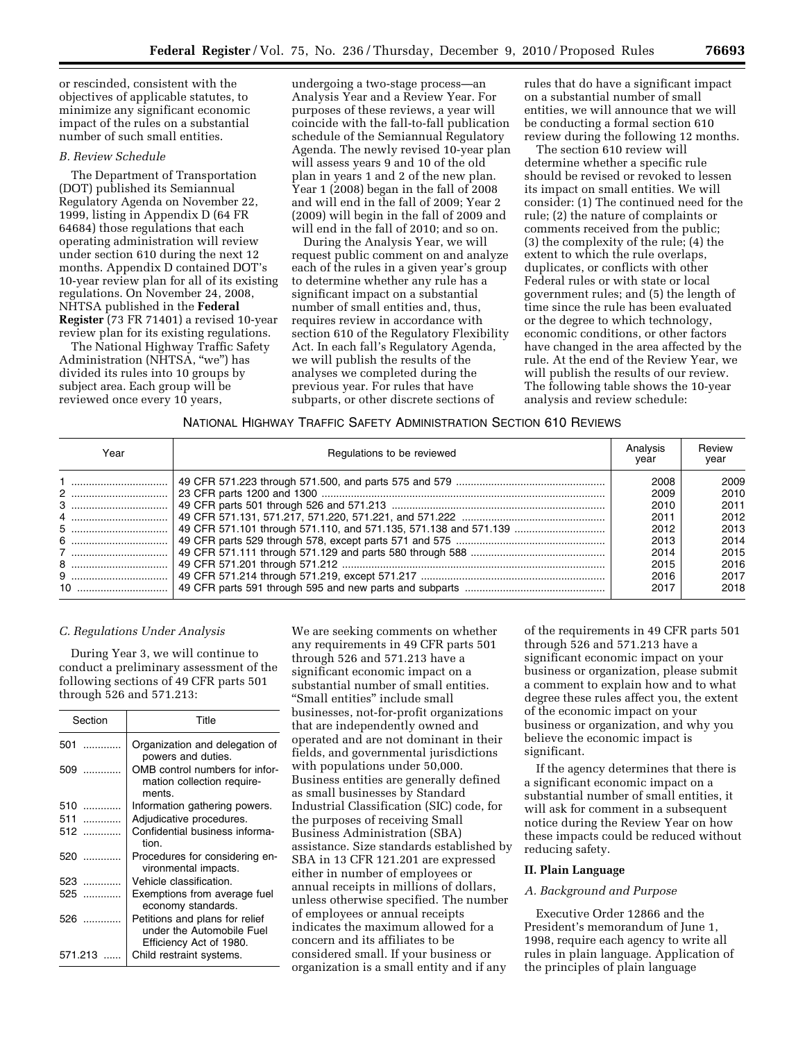or rescinded, consistent with the objectives of applicable statutes, to minimize any significant economic impact of the rules on a substantial number of such small entities.

# *B. Review Schedule*

The Department of Transportation (DOT) published its Semiannual Regulatory Agenda on November 22, 1999, listing in Appendix D (64 FR 64684) those regulations that each operating administration will review under section 610 during the next 12 months. Appendix D contained DOT's 10-year review plan for all of its existing regulations. On November 24, 2008, NHTSA published in the **Federal Register** (73 FR 71401) a revised 10-year review plan for its existing regulations.

The National Highway Traffic Safety Administration (NHTSA, "we") has divided its rules into 10 groups by subject area. Each group will be reviewed once every 10 years,

undergoing a two-stage process—an Analysis Year and a Review Year. For purposes of these reviews, a year will coincide with the fall-to-fall publication schedule of the Semiannual Regulatory Agenda. The newly revised 10-year plan will assess years 9 and 10 of the old plan in years 1 and 2 of the new plan. Year 1 (2008) began in the fall of 2008 and will end in the fall of 2009; Year 2 (2009) will begin in the fall of 2009 and will end in the fall of 2010; and so on.

During the Analysis Year, we will request public comment on and analyze each of the rules in a given year's group to determine whether any rule has a significant impact on a substantial number of small entities and, thus, requires review in accordance with section 610 of the Regulatory Flexibility Act. In each fall's Regulatory Agenda, we will publish the results of the analyses we completed during the previous year. For rules that have subparts, or other discrete sections of

rules that do have a significant impact on a substantial number of small entities, we will announce that we will be conducting a formal section 610 review during the following 12 months.

The section 610 review will determine whether a specific rule should be revised or revoked to lessen its impact on small entities. We will consider: (1) The continued need for the rule; (2) the nature of complaints or comments received from the public; (3) the complexity of the rule; (4) the extent to which the rule overlaps, duplicates, or conflicts with other Federal rules or with state or local government rules; and (5) the length of time since the rule has been evaluated or the degree to which technology, economic conditions, or other factors have changed in the area affected by the rule. At the end of the Review Year, we will publish the results of our review. The following table shows the 10-year analysis and review schedule:

## NATIONAL HIGHWAY TRAFFIC SAFETY ADMINISTRATION SECTION 610 REVIEWS

| Year | Regulations to be reviewed | Analysis<br>year | Review<br>year |
|------|----------------------------|------------------|----------------|
|      |                            | 2008             | 2009           |
|      |                            | 2009             | 2010           |
|      |                            | 2010             | 2011           |
|      |                            | 2011             | 2012           |
|      |                            | 2012             | 2013           |
|      |                            | 2013             | 2014           |
|      |                            | 2014             | 2015           |
|      |                            | 2015             | 2016           |
|      |                            | 2016             | 2017           |
|      |                            | 2017             | 2018           |

## *C. Regulations Under Analysis*

During Year 3, we will continue to conduct a preliminary assessment of the following sections of 49 CFR parts 501 through 526 and 571.213:

| Section  | Title                                                                                  |  |  |
|----------|----------------------------------------------------------------------------------------|--|--|
| 501      | Organization and delegation of<br>powers and duties.                                   |  |  |
| 509      | OMB control numbers for infor-<br>mation collection require-<br>ments.                 |  |  |
| 510<br>. | Information gathering powers.                                                          |  |  |
| 511<br>. | Adjudicative procedures.                                                               |  |  |
| 512      | Confidential business informa-<br>tion.                                                |  |  |
| 520      | Procedures for considering en-<br>vironmental impacts.                                 |  |  |
| 523      | Vehicle classification.                                                                |  |  |
| 525      | Exemptions from average fuel<br>economy standards.                                     |  |  |
| 526      | Petitions and plans for relief<br>under the Automobile Fuel<br>Efficiency Act of 1980. |  |  |
| 571.213  | Child restraint systems.                                                               |  |  |

We are seeking comments on whether any requirements in 49 CFR parts 501 through 526 and 571.213 have a significant economic impact on a substantial number of small entities. ''Small entities'' include small businesses, not-for-profit organizations that are independently owned and operated and are not dominant in their fields, and governmental jurisdictions with populations under 50,000. Business entities are generally defined as small businesses by Standard Industrial Classification (SIC) code, for the purposes of receiving Small Business Administration (SBA) assistance. Size standards established by SBA in 13 CFR 121.201 are expressed either in number of employees or annual receipts in millions of dollars, unless otherwise specified. The number of employees or annual receipts indicates the maximum allowed for a concern and its affiliates to be considered small. If your business or organization is a small entity and if any

of the requirements in 49 CFR parts 501 through 526 and 571.213 have a significant economic impact on your business or organization, please submit a comment to explain how and to what degree these rules affect you, the extent of the economic impact on your business or organization, and why you believe the economic impact is significant.

If the agency determines that there is a significant economic impact on a substantial number of small entities, it will ask for comment in a subsequent notice during the Review Year on how these impacts could be reduced without reducing safety.

#### **II. Plain Language**

## *A. Background and Purpose*

Executive Order 12866 and the President's memorandum of June 1, 1998, require each agency to write all rules in plain language. Application of the principles of plain language